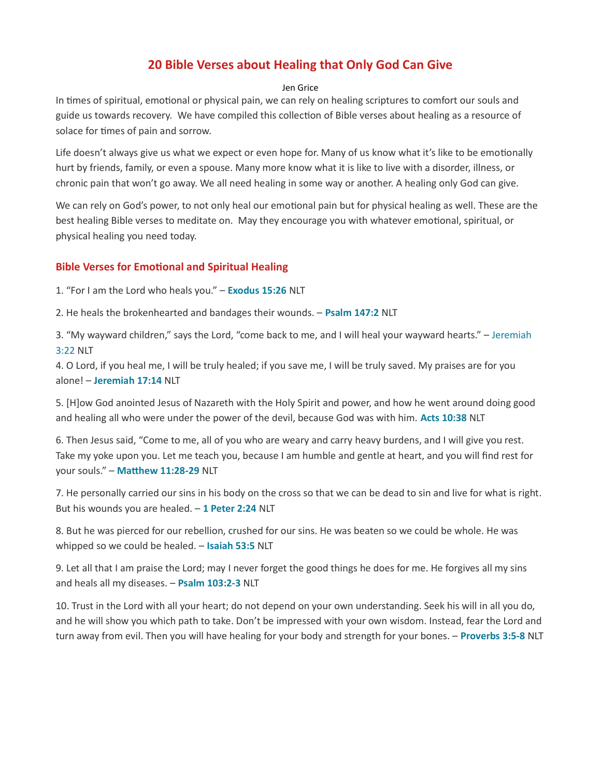## 20 Bible Verses about Healing that Only God Can Give

## Jen Grice

In times of spiritual, emotional or physical pain, we can rely on healing scriptures to comfort our souls and guide us towards recovery. We have compiled this collection of Bible verses about healing as a resource of solace for times of pain and sorrow.

Life doesn't always give us what we expect or even hope for. Many of us know what it's like to be emotionally hurt by friends, family, or even a spouse. Many more know what it is like to live with a disorder, illness, or chronic pain that won't go away. We all need healing in some way or another. A healing only God can give.

We can rely on God's power, to not only heal our emotional pain but for physical healing as well. These are the best healing Bible verses to meditate on. May they encourage you with whatever emotional, spiritual, or physical healing you need today.

## **Bible Verses for Emotional and Spiritual Healing**

1. "For I am the Lord who heals you." - Exodus 15:26 NLT

2. He heals the brokenhearted and bandages their wounds. - Psalm 147:2 NLT

3. "My wayward children," says the Lord, "come back to me, and I will heal your wayward hearts." – Jeremiah 3:22 NLT

4. O Lord, if you heal me, I will be truly healed; if you save me, I will be truly saved. My praises are for you alone! – Jeremiah 17:14 NLT

5. [H]ow God anointed Jesus of Nazareth with the Holy Spirit and power, and how he went around doing good and healing all who were under the power of the devil, because God was with him. Acts 10:38 NLT

6. Then Jesus said, "Come to me, all of you who are weary and carry heavy burdens, and I will give you rest. Take my yoke upon you. Let me teach you, because I am humble and gentle at heart, and you will find rest for your souls." - Matthew 11:28-29 NLT

7. He personally carried our sins in his body on the cross so that we can be dead to sin and live for what is right. But his wounds you are healed.  $-1$  Peter 2:24 NLT

8. But he was pierced for our rebellion, crushed for our sins. He was beaten so we could be whole. He was whipped so we could be healed. - Isaiah 53:5 NLT

9. Let all that I am praise the Lord; may I never forget the good things he does for me. He forgives all my sins and heals all my diseases. - Psalm 103:2-3 NLT

10. Trust in the Lord with all your heart; do not depend on your own understanding. Seek his will in all you do, and he will show you which path to take. Don't be impressed with your own wisdom. Instead, fear the Lord and turn away from evil. Then you will have healing for your body and strength for your bones. - Proverbs 3:5-8 NLT